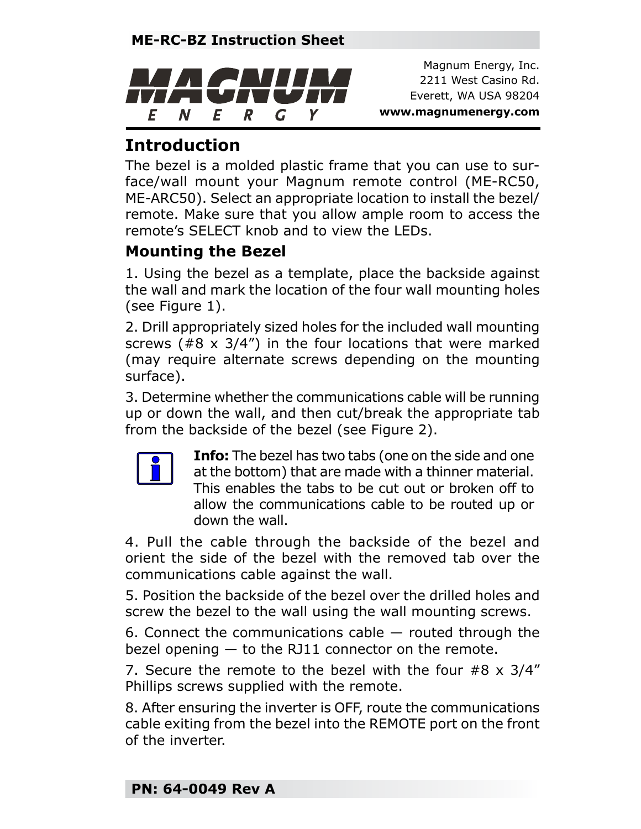

Magnum Energy, Inc. 2211 West Casino Rd. Everett, WA USA 98204 **www.magnumenergy.com**

## **Introduction**

The bezel is a molded plastic frame that you can use to surface/wall mount your Magnum remote control (ME-RC50, ME-ARC50). Select an appropriate location to install the bezel/ remote. Make sure that you allow ample room to access the remote's SELECT knob and to view the LEDs.

## **Mounting the Bezel**

1. Using the bezel as a template, place the backside against the wall and mark the location of the four wall mounting holes (see Figure 1).

2. Drill appropriately sized holes for the included wall mounting screws (#8 x 3/4") in the four locations that were marked (may require alternate screws depending on the mounting surface).

3. Determine whether the communications cable will be running up or down the wall, and then cut/break the appropriate tab from the backside of the bezel (see Figure 2).



**Info:** The bezel has two tabs (one on the side and one at the bottom) that are made with a thinner material. This enables the tabs to be cut out or broken off to allow the communications cable to be routed up or down the wall.

4. Pull the cable through the backside of the bezel and orient the side of the bezel with the removed tab over the communications cable against the wall.

5. Position the backside of the bezel over the drilled holes and screw the bezel to the wall using the wall mounting screws.

6. Connect the communications cable  $-$  routed through the bezel opening — to the RJ11 connector on the remote.

7. Secure the remote to the bezel with the four #8 x 3/4" Phillips screws supplied with the remote.

8. After ensuring the inverter is OFF, route the communications cable exiting from the bezel into the REMOTE port on the front of the inverter.